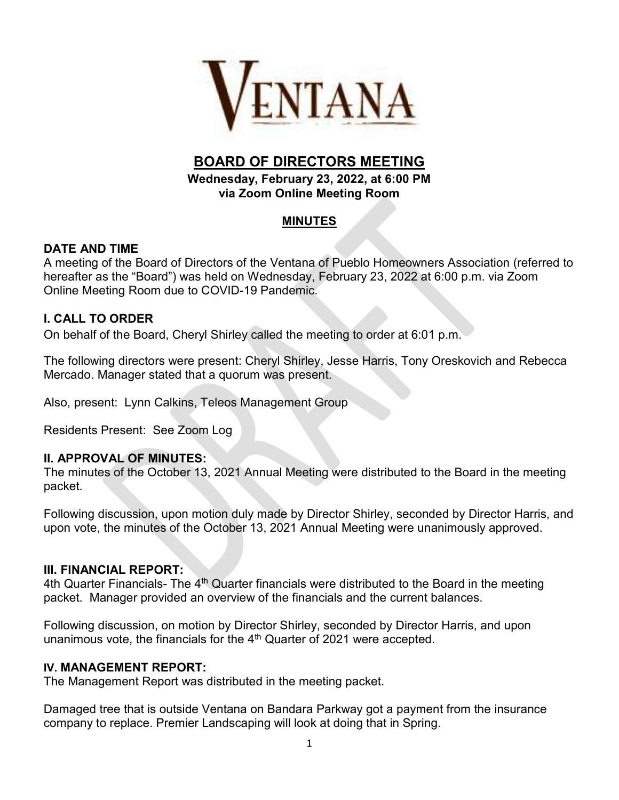

# BOARD OF DIRECTORS MEETING

Wednesday, February 23, 2022, at 6:00 PM via Zoom Online Meeting Room

## MINUTES

## DATE AND TIME

A meeting of the Board of Directors of the Ventana of Pueblo Homeowners Association (referred to hereafter as the "Board") was held on Wednesday, February 23, 2022 at 6:00 p.m. via Zoom Online Meeting Room due to COVID-19 Pandemic.

## I. CALL TO ORDER

On behalf of the Board, Cheryl Shirley called the meeting to order at 6:01 p.m.

The following directors were present: Cheryl Shirley, Jesse Harris, Tony Oreskovich and Rebecca Mercado. Manager stated that a quorum was present.

Also, present: Lynn Calkins, Teleos Management Group

Residents Present: See Zoom Log

#### II. APPROVAL OF MINUTES:

The minutes of the October 13, 2021 Annual Meeting were distributed to the Board in the meeting packet.

Following discussion, upon motion duly made by Director Shirley, seconded by Director Harris, and upon vote, the minutes of the October 13, 2021 Annual Meeting were unanimously approved.

#### III. FINANCIAL REPORT:

4th Quarter Financials- The  $4<sup>th</sup>$  Quarter financials were distributed to the Board in the meeting packet. Manager provided an overview of the financials and the current balances.

Following discussion, on motion by Director Shirley, seconded by Director Harris, and upon unanimous vote, the financials for the  $4<sup>th</sup>$  Quarter of 2021 were accepted.

#### IV. MANAGEMENT REPORT:

The Management Report was distributed in the meeting packet.

Damaged tree that is outside Ventana on Bandara Parkway got a payment from the insurance company to replace. Premier Landscaping will look at doing that in Spring.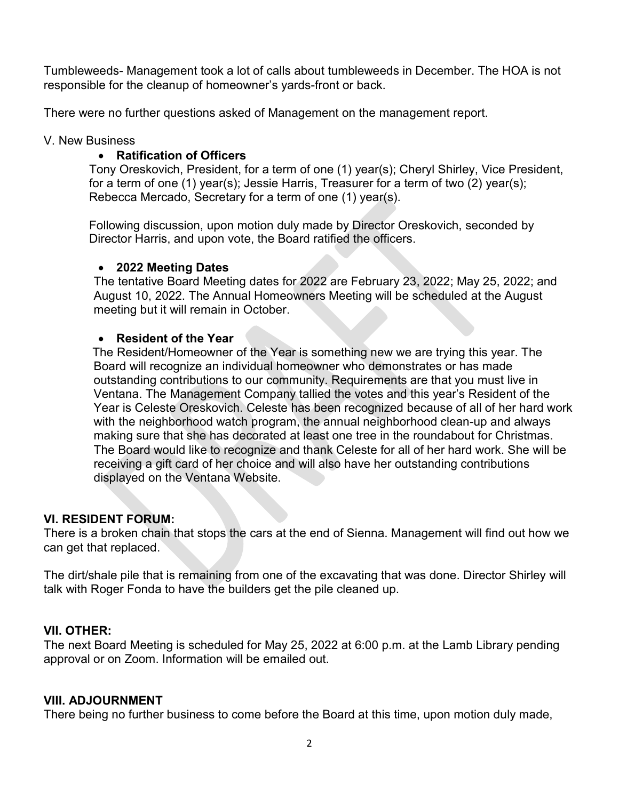Tumbleweeds- Management took a lot of calls about tumbleweeds in December. The HOA is not responsible for the cleanup of homeowner's yards-front or back.

There were no further questions asked of Management on the management report.

#### V. New Business

## Ratification of Officers

Tony Oreskovich, President, for a term of one (1) year(s); Cheryl Shirley, Vice President, for a term of one (1) year(s); Jessie Harris, Treasurer for a term of two (2) year(s); Rebecca Mercado, Secretary for a term of one (1) year(s).

Following discussion, upon motion duly made by Director Oreskovich, seconded by Director Harris, and upon vote, the Board ratified the officers.

#### • 2022 Meeting Dates

The tentative Board Meeting dates for 2022 are February 23, 2022; May 25, 2022; and August 10, 2022. The Annual Homeowners Meeting will be scheduled at the August meeting but it will remain in October.

#### Resident of the Year

 The Resident/Homeowner of the Year is something new we are trying this year. The Board will recognize an individual homeowner who demonstrates or has made outstanding contributions to our community. Requirements are that you must live in Ventana. The Management Company tallied the votes and this year's Resident of the Year is Celeste Oreskovich. Celeste has been recognized because of all of her hard work with the neighborhood watch program, the annual neighborhood clean-up and always making sure that she has decorated at least one tree in the roundabout for Christmas. The Board would like to recognize and thank Celeste for all of her hard work. She will be receiving a gift card of her choice and will also have her outstanding contributions displayed on the Ventana Website.

## VI. RESIDENT FORUM:

There is a broken chain that stops the cars at the end of Sienna. Management will find out how we can get that replaced.

The dirt/shale pile that is remaining from one of the excavating that was done. Director Shirley will talk with Roger Fonda to have the builders get the pile cleaned up.

## VII. OTHER:

The next Board Meeting is scheduled for May 25, 2022 at 6:00 p.m. at the Lamb Library pending approval or on Zoom. Information will be emailed out.

## VIII. ADJOURNMENT

There being no further business to come before the Board at this time, upon motion duly made,